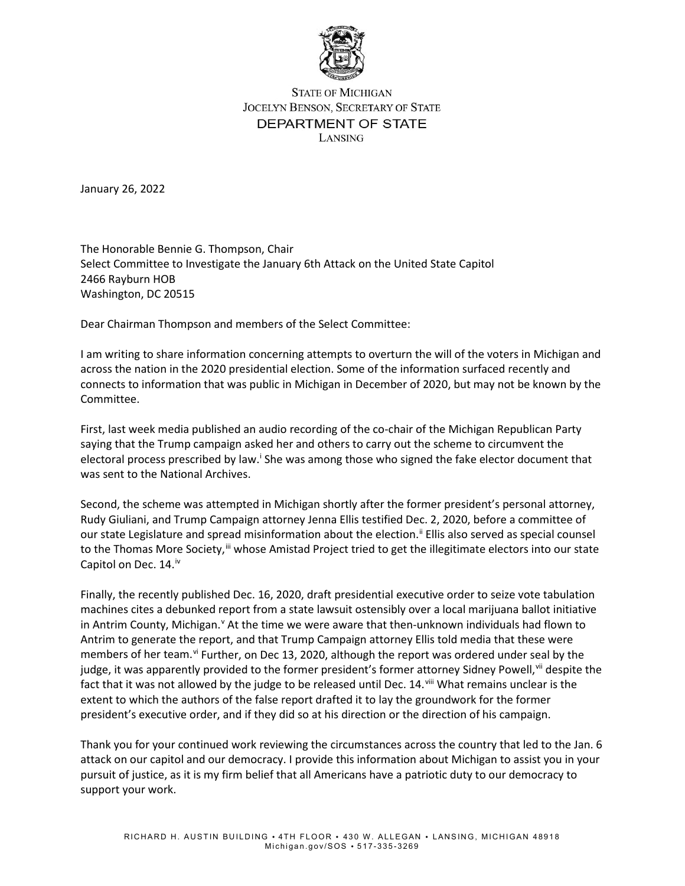

## **STATE OF MICHIGAN** JOCELYN BENSON, SECRETARY OF STATE DEPARTMENT OF STATE LANSING

January 26, 2022

The Honorable Bennie G. Thompson, Chair Select Committee to Investigate the January 6th Attack on the United State Capitol 2466 Rayburn HOB Washington, DC 20515

Dear Chairman Thompson and members of the Select Committee:

I am writing to share information concerning attempts to overturn the will of the voters in Michigan and across the nation in the 2020 presidential election. Some of the information surfaced recently and connects to information that was public in Michigan in December of 2020, but may not be known by the Committee.

First, last week media published an audio recording of the co-chair of the Michigan Republican Party saying that the Trump campaign asked her and others to carry out the scheme to circumvent the electoral process prescribed by law.<sup>i</sup> She was among those who signed the fake elector document that was sent to the National Archives.

Second, the scheme was attempted in Michigan shortly after the former president's personal attorney, Rudy Giuliani, and Trump Campaign attorney Jenna Ellis testified Dec. 2, 2020, before a committee of our state Legislature and spread misinformation about the election.<sup>[ii](#page-1-1)</sup> Ellis also served as special counsel to the Thomas More Society,<sup>ii</sup> whose Amistad Project tried to get the illegitimate electors into our state Capitol on Dec.  $14.^{iv}$  $14.^{iv}$  $14.^{iv}$ 

Finally, the recently published Dec. 16, 2020, draft presidential executive order to seize vote tabulation machines cites a debunked report from a state lawsuit ostensibly over a local marijuana ballot initiative in Antrim County, Michigan.<sup>[v](#page-1-4)</sup> At the time we were aware that then-unknown individuals had flown to Antrim to generate the report, and that Trump Campaign attorney Ellis told media that these were members of her team. If Further, on Dec 13, 2020, although the report was ordered under seal by the judge, it was apparently provided to the former president's former attorney Sidney Powell, in despite the fact that it was not allowed by the judge to be released until Dec. 14. Vill What remains unclear is the extent to which the authors of the false report drafted it to lay the groundwork for the former president's executive order, and if they did so at his direction or the direction of his campaign.

Thank you for your continued work reviewing the circumstances across the country that led to the Jan. 6 attack on our capitol and our democracy. I provide this information about Michigan to assist you in your pursuit of justice, as it is my firm belief that all Americans have a patriotic duty to our democracy to support your work.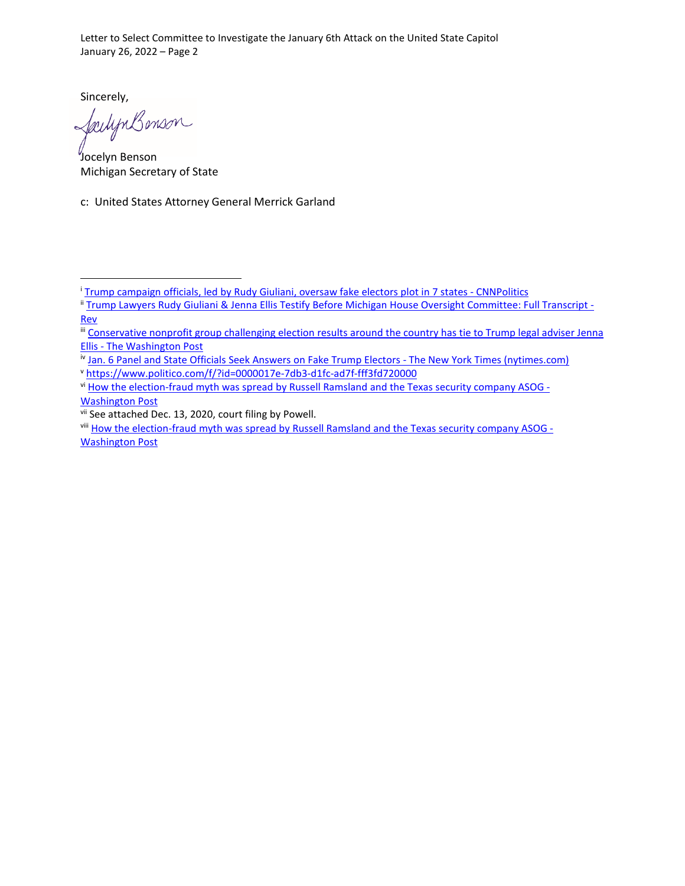Letter to Select Committee to Investigate the January 6th Attack on the United State Capitol January 26, 2022 – Page 2

Sincerely,

failignBonson

Jocelyn Benson Michigan Secretary of State

c: United States Attorney General Merrick Garland

<span id="page-1-4"></span><sup>v</sup> <https://www.politico.com/f/?id=0000017e-7db3-d1fc-ad7f-fff3fd720000>

<span id="page-1-0"></span><sup>i</sup> [Trump campaign officials, led by Rudy Giuliani, oversaw fake electors plot in 7 states -](https://www.cnn.com/2022/01/20/politics/trump-campaign-officials-rudy-giuliani-fake-electors/index.html) CNNPolitics

<span id="page-1-1"></span><sup>&</sup>lt;sup>ii</sup> [Trump Lawyers Rudy Giuliani & Jenna Ellis Testify Before Michigan House Oversight Committee: Full Transcript -](https://www.rev.com/blog/transcripts/trump-lawyers-rudy-giuliani-jenna-ellis-testify-before-michigan-house-oversight-committee-transcript) [Rev](https://www.rev.com/blog/transcripts/trump-lawyers-rudy-giuliani-jenna-ellis-testify-before-michigan-house-oversight-committee-transcript)

<span id="page-1-2"></span><sup>&</sup>lt;sup>iii</sup> Conservative nonprofit group challenging election results around the country has tie to Trump legal adviser Jenna Ellis - [The Washington Post](https://www.washingtonpost.com/politics/thomas-more-jenna-ellis/2020/12/07/09057432-362d-11eb-b59c-adb7153d10c2_story.html)

<span id="page-1-3"></span>iv [Jan. 6 Panel and State Officials Seek Answers on Fake Trump Electors -](https://www.nytimes.com/2022/01/21/us/politics/jan-6-fake-trump-electors.html) The New York Times (nytimes.com)

<span id="page-1-5"></span>vi [How the election-fraud myth was spread by Russell Ramsland and the Texas security company ASOG -](https://www.washingtonpost.com/investigations/interactive/2021/trump-election-fraud-texas-businessman-ramsland-asog/) [Washington Post](https://www.washingtonpost.com/investigations/interactive/2021/trump-election-fraud-texas-businessman-ramsland-asog/)

<span id="page-1-7"></span><span id="page-1-6"></span>vii See attached Dec. 13, 2020, court filing by Powell.<br>viii [How the election-fraud myth was spread by Russell Ramsland and the Texas security company ASOG -](https://www.washingtonpost.com/investigations/interactive/2021/trump-election-fraud-texas-businessman-ramsland-asog/) [Washington Post](https://www.washingtonpost.com/investigations/interactive/2021/trump-election-fraud-texas-businessman-ramsland-asog/)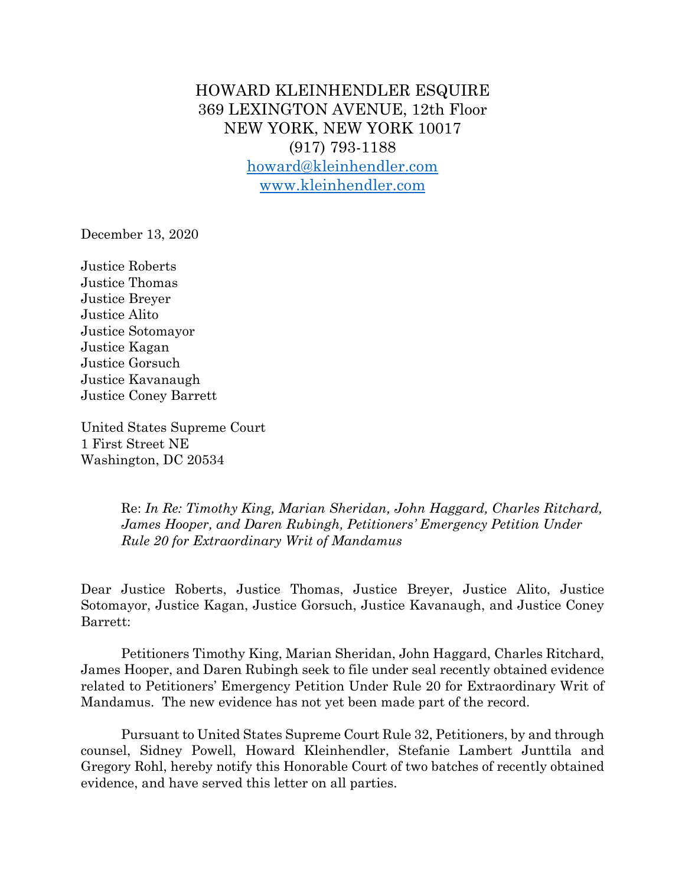HOWARD KLEINHENDLER ESQUIRE 369 LEXINGTON AVENUE, 12th Floor NEW YORK, NEW YORK 10017 (917) 793-1188 howard@kleinhendler.com www.kleinhendler.com

December 13, 2020

Justice Roberts Justice Thomas Justice Breyer Justice Alito Justice Sotomayor Justice Kagan Justice Gorsuch Justice Kavanaugh Justice Coney Barrett

United States Supreme Court 1 First Street NE Washington, DC 20534

> Re: *In Re: Timothy King, Marian Sheridan, John Haggard, Charles Ritchard, James Hooper, and Daren Rubingh, Petitioners' Emergency Petition Under Rule 20 for Extraordinary Writ of Mandamus*

Dear Justice Roberts, Justice Thomas, Justice Breyer, Justice Alito, Justice Sotomayor, Justice Kagan, Justice Gorsuch, Justice Kavanaugh, and Justice Coney Barrett:

Petitioners Timothy King, Marian Sheridan, John Haggard, Charles Ritchard, James Hooper, and Daren Rubingh seek to file under seal recently obtained evidence related to Petitioners' Emergency Petition Under Rule 20 for Extraordinary Writ of Mandamus. The new evidence has not yet been made part of the record.

Pursuant to United States Supreme Court Rule 32, Petitioners, by and through counsel, Sidney Powell, Howard Kleinhendler, Stefanie Lambert Junttila and Gregory Rohl, hereby notify this Honorable Court of two batches of recently obtained evidence, and have served this letter on all parties.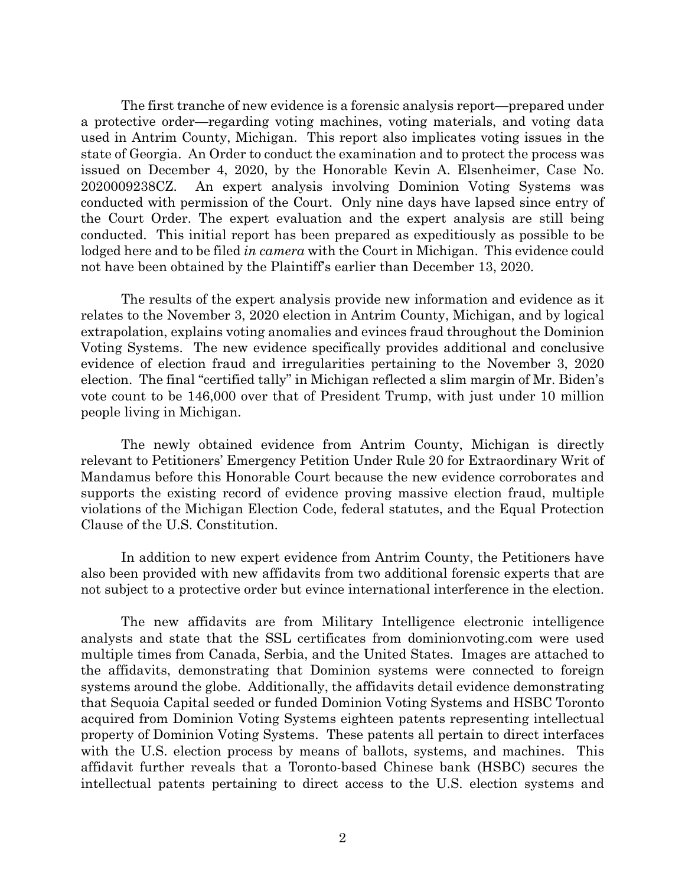The first tranche of new evidence is a forensic analysis report—prepared under a protective order—regarding voting machines, voting materials, and voting data used in Antrim County, Michigan. This report also implicates voting issues in the state of Georgia. An Order to conduct the examination and to protect the process was issued on December 4, 2020, by the Honorable Kevin A. Elsenheimer, Case No. 2020009238CZ. An expert analysis involving Dominion Voting Systems was conducted with permission of the Court. Only nine days have lapsed since entry of the Court Order. The expert evaluation and the expert analysis are still being conducted. This initial report has been prepared as expeditiously as possible to be lodged here and to be filed *in camera* with the Court in Michigan. This evidence could not have been obtained by the Plaintiff's earlier than December 13, 2020.

The results of the expert analysis provide new information and evidence as it relates to the November 3, 2020 election in Antrim County, Michigan, and by logical extrapolation, explains voting anomalies and evinces fraud throughout the Dominion Voting Systems. The new evidence specifically provides additional and conclusive evidence of election fraud and irregularities pertaining to the November 3, 2020 election. The final "certified tally" in Michigan reflected a slim margin of Mr. Biden's vote count to be 146,000 over that of President Trump, with just under 10 million people living in Michigan.

The newly obtained evidence from Antrim County, Michigan is directly relevant to Petitioners' Emergency Petition Under Rule 20 for Extraordinary Writ of Mandamus before this Honorable Court because the new evidence corroborates and supports the existing record of evidence proving massive election fraud, multiple violations of the Michigan Election Code, federal statutes, and the Equal Protection Clause of the U.S. Constitution.

In addition to new expert evidence from Antrim County, the Petitioners have also been provided with new affidavits from two additional forensic experts that are not subject to a protective order but evince international interference in the election.

The new affidavits are from Military Intelligence electronic intelligence analysts and state that the SSL certificates from dominionvoting.com were used multiple times from Canada, Serbia, and the United States. Images are attached to the affidavits, demonstrating that Dominion systems were connected to foreign systems around the globe. Additionally, the affidavits detail evidence demonstrating that Sequoia Capital seeded or funded Dominion Voting Systems and HSBC Toronto acquired from Dominion Voting Systems eighteen patents representing intellectual property of Dominion Voting Systems. These patents all pertain to direct interfaces with the U.S. election process by means of ballots, systems, and machines. This affidavit further reveals that a Toronto-based Chinese bank (HSBC) secures the intellectual patents pertaining to direct access to the U.S. election systems and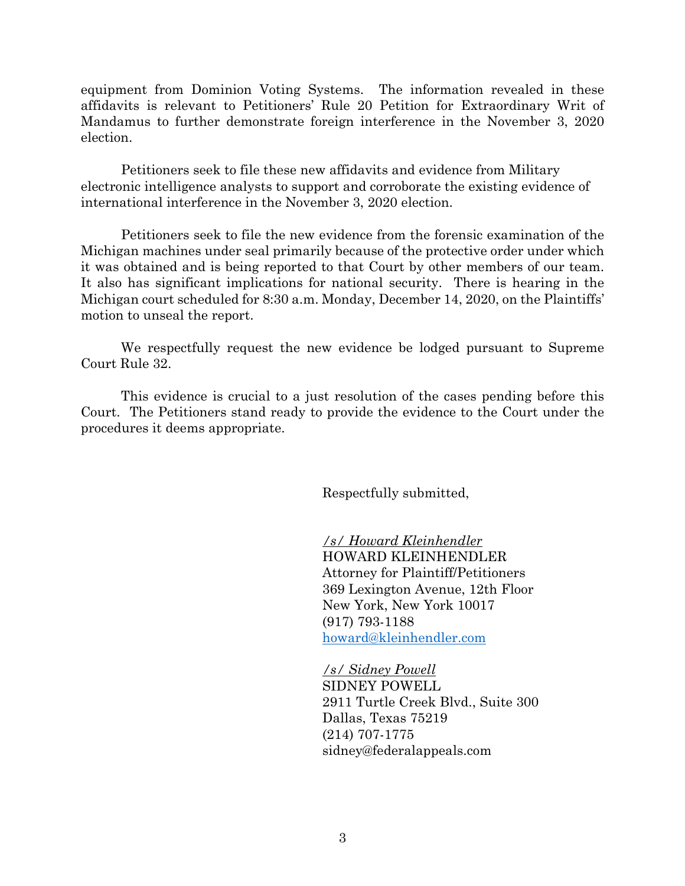equipment from Dominion Voting Systems. The information revealed in these affidavits is relevant to Petitioners' Rule 20 Petition for Extraordinary Writ of Mandamus to further demonstrate foreign interference in the November 3, 2020 election.

Petitioners seek to file these new affidavits and evidence from Military electronic intelligence analysts to support and corroborate the existing evidence of international interference in the November 3, 2020 election.

Petitioners seek to file the new evidence from the forensic examination of the Michigan machines under seal primarily because of the protective order under which it was obtained and is being reported to that Court by other members of our team. It also has significant implications for national security. There is hearing in the Michigan court scheduled for 8:30 a.m. Monday, December 14, 2020, on the Plaintiffs' motion to unseal the report.

We respectfully request the new evidence be lodged pursuant to Supreme Court Rule 32.

This evidence is crucial to a just resolution of the cases pending before this Court. The Petitioners stand ready to provide the evidence to the Court under the procedures it deems appropriate.

Respectfully submitted,

*/s/ Howard Kleinhendler* HOWARD KLEINHENDLER Attorney for Plaintiff/Petitioners 369 Lexington Avenue, 12th Floor New York, New York 10017 (917) 793-1188 howard@kleinhendler.com

*/s/ Sidney Powell* SIDNEY POWELL 2911 Turtle Creek Blvd., Suite 300 Dallas, Texas 75219 (214) 707-1775 sidney@federalappeals.com